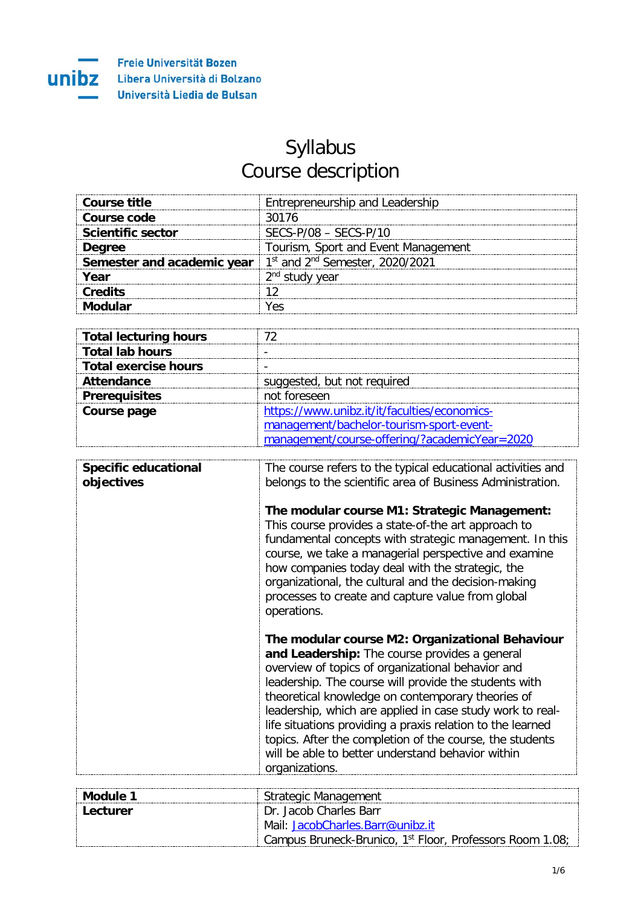

## Syllabus Course description

| Course title                                                          | Entrepreneurship and Leadership     |
|-----------------------------------------------------------------------|-------------------------------------|
| Course code                                                           | 30176                               |
| <b>Scientific sector</b>                                              | $SFCS-P/08 - SFCS-P/10$             |
| <b>Dearee</b>                                                         | Tourism, Sport and Event Management |
| <b>Semester and academic year</b> $1st$ and $2nd$ Semester, 2020/2021 |                                     |
| Year                                                                  | 2 <sup>nd</sup> study vear          |
| <b>Credits</b>                                                        |                                     |
|                                                                       |                                     |

| <b>Total lecturing hours</b> |                                               |
|------------------------------|-----------------------------------------------|
| <b>Total lab hours</b>       |                                               |
| Total exercise hours         |                                               |
| Attendance                   | suggested, but not required                   |
| <b>Prerequisites</b>         | not foreseen                                  |
| Course page                  | https://www.unibz.it/it/faculties/economics-  |
|                              | management/bachelor-tourism-sport-event-      |
|                              | management/course-offering/?academicYear=2020 |

| <b>Specific educational</b> | The course refers to the typical educational activities and                                                                                                                                                                                                                                                                                                                                                                                                                                                                       |
|-----------------------------|-----------------------------------------------------------------------------------------------------------------------------------------------------------------------------------------------------------------------------------------------------------------------------------------------------------------------------------------------------------------------------------------------------------------------------------------------------------------------------------------------------------------------------------|
| objectives                  | belongs to the scientific area of Business Administration.                                                                                                                                                                                                                                                                                                                                                                                                                                                                        |
|                             | The modular course M1: Strategic Management:<br>This course provides a state-of-the art approach to<br>fundamental concepts with strategic management. In this<br>course, we take a managerial perspective and examine<br>how companies today deal with the strategic, the<br>organizational, the cultural and the decision-making<br>processes to create and capture value from global<br>operations.                                                                                                                            |
|                             | The modular course M2: Organizational Behaviour<br>and Leadership: The course provides a general<br>overview of topics of organizational behavior and<br>leadership. The course will provide the students with<br>theoretical knowledge on contemporary theories of<br>leadership, which are applied in case study work to real-<br>life situations providing a praxis relation to the learned<br>topics. After the completion of the course, the students<br>will be able to better understand behavior within<br>organizations. |

| Module 1   | Strategic Management                                                 |
|------------|----------------------------------------------------------------------|
| : Lecturer | - Dr. Jacob Charles Barr                                             |
|            | Mail: JacobCharles.Barr@unibz.it                                     |
|            | Campus Bruneck-Brunico, 1 <sup>st</sup> Floor, Professors Room 1.08; |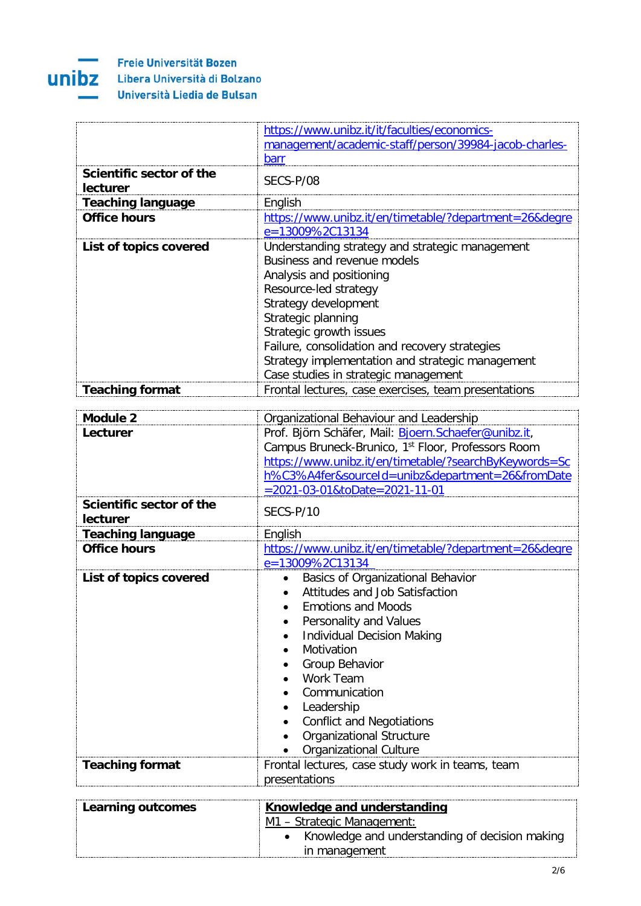

|                                             | https://www.unibz.it/it/faculties/economics-                                                                                                                                                                                                                                                                                                                                               |
|---------------------------------------------|--------------------------------------------------------------------------------------------------------------------------------------------------------------------------------------------------------------------------------------------------------------------------------------------------------------------------------------------------------------------------------------------|
|                                             | management/academic-staff/person/39984-jacob-charles-                                                                                                                                                                                                                                                                                                                                      |
|                                             | <b>barr</b>                                                                                                                                                                                                                                                                                                                                                                                |
| Scientific sector of the<br><b>lecturer</b> | SECS-P/08                                                                                                                                                                                                                                                                                                                                                                                  |
| <b>Teaching language</b>                    | English                                                                                                                                                                                                                                                                                                                                                                                    |
| <b>Office hours</b>                         | https://www.unibz.it/en/timetable/?department=26&degre<br>e=13009%2C13134                                                                                                                                                                                                                                                                                                                  |
| List of topics covered                      | Understanding strategy and strategic management<br>Business and revenue models<br>Analysis and positioning<br>Resource-led strategy<br>Strategy development<br>Strategic planning<br>Strategic growth issues<br>Failure, consolidation and recovery strategies<br>Strategy implementation and strategic management<br>Case studies in strategic management                                 |
| <b>Teaching format</b>                      | Frontal lectures, case exercises, team presentations                                                                                                                                                                                                                                                                                                                                       |
| <b>Module 2</b>                             | Organizational Behaviour and Leadership                                                                                                                                                                                                                                                                                                                                                    |
| Lecturer                                    | Prof. Björn Schäfer, Mail: Bjoern. Schaefer@unibz.it,                                                                                                                                                                                                                                                                                                                                      |
|                                             | Campus Bruneck-Brunico, 1st Floor, Professors Room<br>https://www.unibz.it/en/timetable/?searchByKeywords=Sc<br>h%C3%A4fer&sourceId=unibz&department=26&fromDate<br>=2021-03-01&toDate=2021-11-01                                                                                                                                                                                          |
| Scientific sector of the<br>lecturer        | SECS-P/10                                                                                                                                                                                                                                                                                                                                                                                  |
| <b>Teaching language</b>                    | English                                                                                                                                                                                                                                                                                                                                                                                    |
| <b>Office hours</b>                         | https://www.unibz.it/en/timetable/?department=26&degre<br>e=13009%2C13134                                                                                                                                                                                                                                                                                                                  |
| List of topics covered                      | Basics of Organizational Behavior<br>Attitudes and Job Satisfaction<br><b>Emotions and Moods</b><br>Personality and Values<br><b>Individual Decision Making</b><br>$\bullet$<br>Motivation<br>$\bullet$<br>Group Behavior<br>$\bullet$<br>Work Team<br>Communication<br>Leadership<br><b>Conflict and Negotiations</b><br><b>Organizational Structure</b><br><b>Organizational Culture</b> |
| <b>Teaching format</b>                      | Frontal lectures, case study work in teams, team<br>presentations                                                                                                                                                                                                                                                                                                                          |

| Learning outcomes | Knowledge and understanding                      |
|-------------------|--------------------------------------------------|
|                   | M1 - Strategic Management:                       |
|                   | • Knowledge and understanding of decision making |
|                   | in management                                    |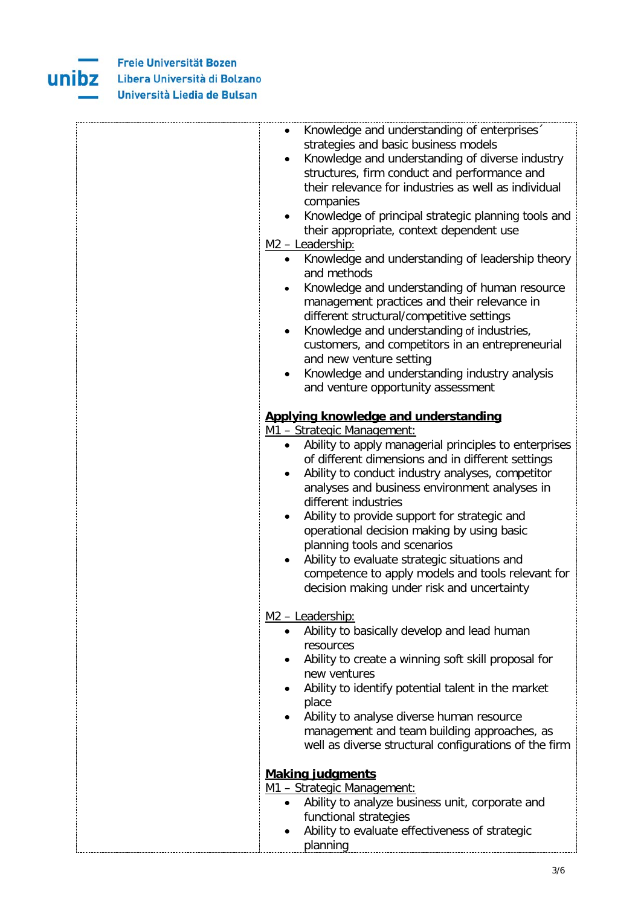

| Knowledge and understanding of enterprises<br>strategies and basic business models<br>Knowledge and understanding of diverse industry<br>$\bullet$<br>structures, firm conduct and performance and<br>their relevance for industries as well as individual<br>companies<br>Knowledge of principal strategic planning tools and<br>their appropriate, context dependent use<br>M <sub>2</sub> - Leadership:<br>Knowledge and understanding of leadership theory<br>$\bullet$<br>and methods<br>Knowledge and understanding of human resource<br>management practices and their relevance in<br>different structural/competitive settings<br>Knowledge and understanding of industries,<br>customers, and competitors in an entrepreneurial<br>and new venture setting<br>Knowledge and understanding industry analysis<br>and venture opportunity assessment |
|-------------------------------------------------------------------------------------------------------------------------------------------------------------------------------------------------------------------------------------------------------------------------------------------------------------------------------------------------------------------------------------------------------------------------------------------------------------------------------------------------------------------------------------------------------------------------------------------------------------------------------------------------------------------------------------------------------------------------------------------------------------------------------------------------------------------------------------------------------------|
|                                                                                                                                                                                                                                                                                                                                                                                                                                                                                                                                                                                                                                                                                                                                                                                                                                                             |
| Applying knowledge and understanding<br>M1 - Strategic Management:<br>Ability to apply managerial principles to enterprises<br>of different dimensions and in different settings                                                                                                                                                                                                                                                                                                                                                                                                                                                                                                                                                                                                                                                                            |
| Ability to conduct industry analyses, competitor<br>$\bullet$<br>analyses and business environment analyses in<br>different industries<br>Ability to provide support for strategic and<br>operational decision making by using basic<br>planning tools and scenarios                                                                                                                                                                                                                                                                                                                                                                                                                                                                                                                                                                                        |
| Ability to evaluate strategic situations and<br>competence to apply models and tools relevant for<br>decision making under risk and uncertainty                                                                                                                                                                                                                                                                                                                                                                                                                                                                                                                                                                                                                                                                                                             |
| M <sub>2</sub> - Leadership:<br>Ability to basically develop and lead human<br>resources<br>Ability to create a winning soft skill proposal for<br>new ventures<br>Ability to identify potential talent in the market<br>٠<br>place<br>Ability to analyse diverse human resource<br>management and team building approaches, as                                                                                                                                                                                                                                                                                                                                                                                                                                                                                                                             |
| well as diverse structural configurations of the firm                                                                                                                                                                                                                                                                                                                                                                                                                                                                                                                                                                                                                                                                                                                                                                                                       |
| <b>Making judgments</b><br>M1 - Strategic Management:<br>Ability to analyze business unit, corporate and<br>functional strategies<br>Ability to evaluate effectiveness of strategic                                                                                                                                                                                                                                                                                                                                                                                                                                                                                                                                                                                                                                                                         |
| planning                                                                                                                                                                                                                                                                                                                                                                                                                                                                                                                                                                                                                                                                                                                                                                                                                                                    |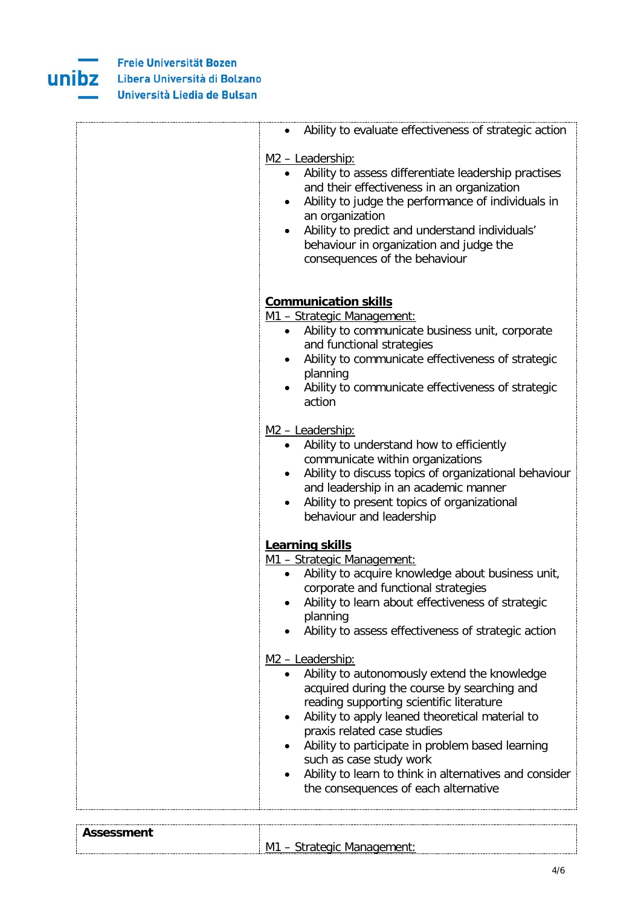

| Ability to evaluate effectiveness of strategic action<br>$\bullet$                                                                                                                                                                                                                                                                                                                                                                                      |
|---------------------------------------------------------------------------------------------------------------------------------------------------------------------------------------------------------------------------------------------------------------------------------------------------------------------------------------------------------------------------------------------------------------------------------------------------------|
| M <sub>2</sub> - Leadership:<br>Ability to assess differentiate leadership practises<br>$\bullet$<br>and their effectiveness in an organization<br>Ability to judge the performance of individuals in<br>an organization<br>Ability to predict and understand individuals'<br>behaviour in organization and judge the<br>consequences of the behaviour                                                                                                  |
| <b>Communication skills</b><br>M1 - Strategic Management:<br>Ability to communicate business unit, corporate<br>$\bullet$<br>and functional strategies<br>Ability to communicate effectiveness of strategic<br>$\bullet$<br>planning<br>Ability to communicate effectiveness of strategic<br>$\bullet$<br>action                                                                                                                                        |
| M <sub>2</sub> - Leadership:<br>Ability to understand how to efficiently<br>$\bullet$<br>communicate within organizations<br>Ability to discuss topics of organizational behaviour<br>and leadership in an academic manner<br>Ability to present topics of organizational<br>behaviour and leadership                                                                                                                                                   |
| Learning skills<br>M1 - Strategic Management:<br>Ability to acquire knowledge about business unit,<br>$\bullet$<br>corporate and functional strategies<br>Ability to learn about effectiveness of strategic<br>planning<br>Ability to assess effectiveness of strategic action                                                                                                                                                                          |
| M <sub>2</sub> - Leadership:<br>Ability to autonomously extend the knowledge<br>acquired during the course by searching and<br>reading supporting scientific literature<br>Ability to apply leaned theoretical material to<br>$\bullet$<br>praxis related case studies<br>Ability to participate in problem based learning<br>such as case study work<br>Ability to learn to think in alternatives and consider<br>the consequences of each alternative |

| <br>. |                  |
|-------|------------------|
|       | M<br>$\sim$<br>w |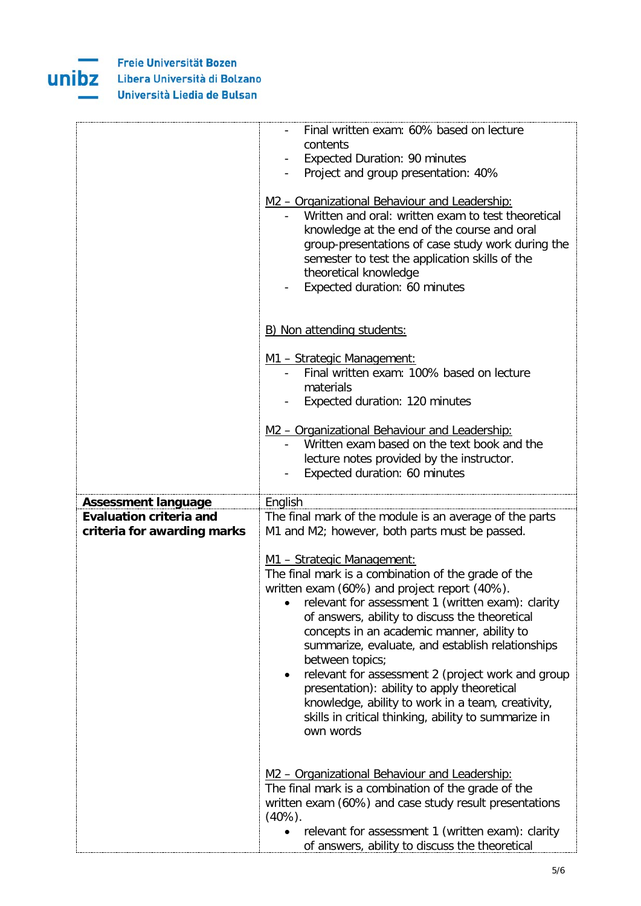

|                                | Final written exam: 60% based on lecture<br>contents                                                                                                                                                                                                                                                                |
|--------------------------------|---------------------------------------------------------------------------------------------------------------------------------------------------------------------------------------------------------------------------------------------------------------------------------------------------------------------|
|                                | <b>Expected Duration: 90 minutes</b>                                                                                                                                                                                                                                                                                |
|                                | Project and group presentation: 40%                                                                                                                                                                                                                                                                                 |
|                                | M2 - Organizational Behaviour and Leadership:<br>Written and oral: written exam to test theoretical<br>knowledge at the end of the course and oral<br>group-presentations of case study work during the<br>semester to test the application skills of the<br>theoretical knowledge<br>Expected duration: 60 minutes |
|                                | B) Non attending students:                                                                                                                                                                                                                                                                                          |
|                                | M1 - Strategic Management:                                                                                                                                                                                                                                                                                          |
|                                | Final written exam: 100% based on lecture                                                                                                                                                                                                                                                                           |
|                                | materials                                                                                                                                                                                                                                                                                                           |
|                                | Expected duration: 120 minutes                                                                                                                                                                                                                                                                                      |
|                                | M2 - Organizational Behaviour and Leadership:                                                                                                                                                                                                                                                                       |
|                                | Written exam based on the text book and the                                                                                                                                                                                                                                                                         |
|                                | lecture notes provided by the instructor.                                                                                                                                                                                                                                                                           |
|                                | Expected duration: 60 minutes                                                                                                                                                                                                                                                                                       |
| <b>Assessment language</b>     | English                                                                                                                                                                                                                                                                                                             |
| <b>Evaluation criteria and</b> | The final mark of the module is an average of the parts                                                                                                                                                                                                                                                             |
| criteria for awarding marks    | M1 and M2; however, both parts must be passed.                                                                                                                                                                                                                                                                      |
|                                | M1 - Strategic Management:                                                                                                                                                                                                                                                                                          |
|                                | The final mark is a combination of the grade of the                                                                                                                                                                                                                                                                 |
|                                | written exam (60%) and project report (40%).                                                                                                                                                                                                                                                                        |
|                                | relevant for assessment 1 (written exam): clarity                                                                                                                                                                                                                                                                   |
|                                | of answers, ability to discuss the theoretical                                                                                                                                                                                                                                                                      |
|                                | concepts in an academic manner, ability to                                                                                                                                                                                                                                                                          |
|                                | summarize, evaluate, and establish relationships<br>between topics;                                                                                                                                                                                                                                                 |
|                                | relevant for assessment 2 (project work and group<br>$\bullet$                                                                                                                                                                                                                                                      |
|                                | presentation): ability to apply theoretical                                                                                                                                                                                                                                                                         |
|                                | knowledge, ability to work in a team, creativity,                                                                                                                                                                                                                                                                   |
|                                |                                                                                                                                                                                                                                                                                                                     |
|                                | skills in critical thinking, ability to summarize in                                                                                                                                                                                                                                                                |
|                                | own words                                                                                                                                                                                                                                                                                                           |
|                                |                                                                                                                                                                                                                                                                                                                     |
|                                |                                                                                                                                                                                                                                                                                                                     |
|                                | M2 - Organizational Behaviour and Leadership:<br>The final mark is a combination of the grade of the                                                                                                                                                                                                                |
|                                | written exam (60%) and case study result presentations                                                                                                                                                                                                                                                              |
|                                | $(40\%)$ .<br>relevant for assessment 1 (written exam): clarity                                                                                                                                                                                                                                                     |